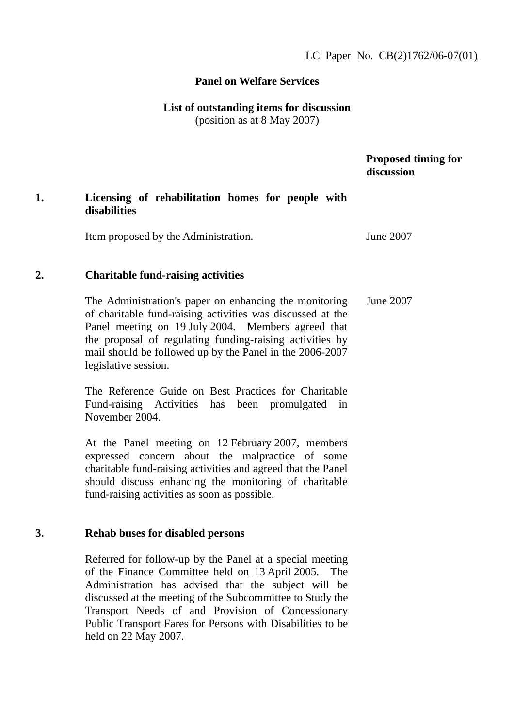# **Panel on Welfare Services**

### **List of outstanding items for discussion**  (position as at 8 May 2007)

# **Proposed timing for discussion**

# **1. Licensing of rehabilitation homes for people with disabilities**

Item proposed by the Administration. June 2007

# **2. Charitable fund-raising activities**

The Administration's paper on enhancing the monitoring of charitable fund-raising activities was discussed at the Panel meeting on 19 July 2004. Members agreed that the proposal of regulating funding-raising activities by mail should be followed up by the Panel in the 2006-2007 legislative session. June 2007

The Reference Guide on Best Practices for Charitable Fund-raising Activities has been promulgated in November 2004.

At the Panel meeting on 12 February 2007, members expressed concern about the malpractice of some charitable fund-raising activities and agreed that the Panel should discuss enhancing the monitoring of charitable fund-raising activities as soon as possible.

# **3. Rehab buses for disabled persons**

Referred for follow-up by the Panel at a special meeting of the Finance Committee held on 13 April 2005. The Administration has advised that the subject will be discussed at the meeting of the Subcommittee to Study the Transport Needs of and Provision of Concessionary Public Transport Fares for Persons with Disabilities to be held on 22 May 2007.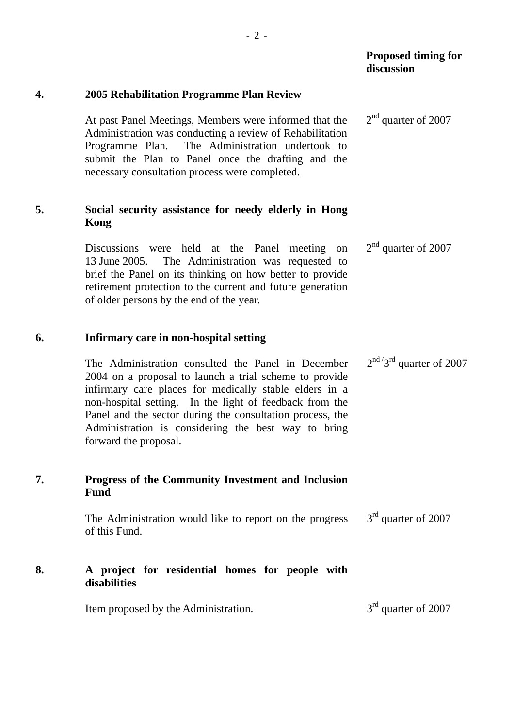|    |                                                                                                                                                                                                                                                                                                                                                                                | discussion                  |
|----|--------------------------------------------------------------------------------------------------------------------------------------------------------------------------------------------------------------------------------------------------------------------------------------------------------------------------------------------------------------------------------|-----------------------------|
| 4. | 2005 Rehabilitation Programme Plan Review                                                                                                                                                                                                                                                                                                                                      |                             |
|    | At past Panel Meetings, Members were informed that the<br>Administration was conducting a review of Rehabilitation<br>The Administration undertook to<br>Programme Plan.<br>submit the Plan to Panel once the drafting and the<br>necessary consultation process were completed.                                                                                               | $2nd$ quarter of 2007       |
| 5. | Social security assistance for needy elderly in Hong<br>Kong                                                                                                                                                                                                                                                                                                                   |                             |
|    | Discussions were held at the Panel meeting on<br>The Administration was requested to<br>13 June 2005.<br>brief the Panel on its thinking on how better to provide<br>retirement protection to the current and future generation<br>of older persons by the end of the year.                                                                                                    | $2nd$ quarter of 2007       |
| 6. | Infirmary care in non-hospital setting                                                                                                                                                                                                                                                                                                                                         |                             |
|    | The Administration consulted the Panel in December<br>2004 on a proposal to launch a trial scheme to provide<br>infirmary care places for medically stable elders in a<br>non-hospital setting. In the light of feedback from the<br>Panel and the sector during the consultation process, the<br>Administration is considering the best way to bring<br>forward the proposal. | $2nd / 3rd$ quarter of 2007 |
| 7. | <b>Progress of the Community Investment and Inclusion</b><br><b>Fund</b>                                                                                                                                                                                                                                                                                                       |                             |
|    | The Administration would like to report on the progress<br>of this Fund.                                                                                                                                                                                                                                                                                                       | $3rd$ quarter of 2007       |
| 8. | A project for residential homes for people with<br>disabilities                                                                                                                                                                                                                                                                                                                |                             |
|    | Item proposed by the Administration.                                                                                                                                                                                                                                                                                                                                           | $3rd$ quarter of 2007       |

 **Proposed timing for**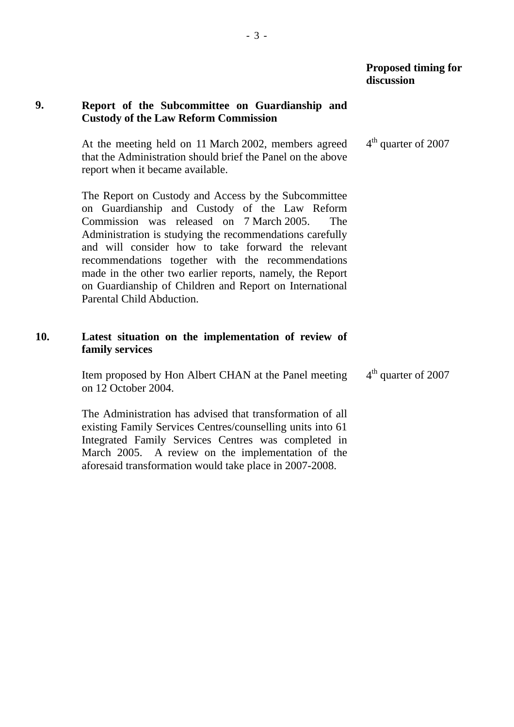## **9. Report of the Subcommittee on Guardianship and Custody of the Law Reform Commission**

At the meeting held on 11 March 2002, members agreed that the Administration should brief the Panel on the above report when it became available.

The Report on Custody and Access by the Subcommittee on Guardianship and Custody of the Law Reform Commission was released on 7 March 2005. The Administration is studying the recommendations carefully and will consider how to take forward the relevant recommendations together with the recommendations made in the other two earlier reports, namely, the Report on Guardianship of Children and Report on International Parental Child Abduction.

## **10. Latest situation on the implementation of review of family services**

Item proposed by Hon Albert CHAN at the Panel meeting on 12 October 2004. 4<sup>th</sup> quarter of 2007

The Administration has advised that transformation of all existing Family Services Centres/counselling units into 61 Integrated Family Services Centres was completed in March 2005. A review on the implementation of the aforesaid transformation would take place in 2007-2008.

4<sup>th</sup> quarter of 2007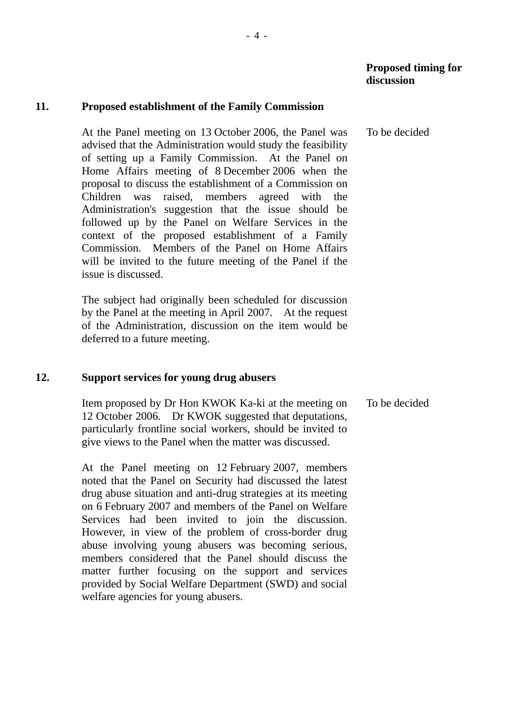#### **11. Proposed establishment of the Family Commission**

At the Panel meeting on 13 October 2006, the Panel was advised that the Administration would study the feasibility of setting up a Family Commission. At the Panel on Home Affairs meeting of 8 December 2006 when the proposal to discuss the establishment of a Commission on Children was raised, members agreed with the Administration's suggestion that the issue should be followed up by the Panel on Welfare Services in the context of the proposed establishment of a Family Commission. Members of the Panel on Home Affairs will be invited to the future meeting of the Panel if the issue is discussed.

- 4 -

The subject had originally been scheduled for discussion by the Panel at the meeting in April 2007. At the request of the Administration, discussion on the item would be deferred to a future meeting.

#### **12. Support services for young drug abusers**

Item proposed by Dr Hon KWOK Ka-ki at the meeting on 12 October 2006. Dr KWOK suggested that deputations, particularly frontline social workers, should be invited to give views to the Panel when the matter was discussed. To be decided

At the Panel meeting on 12 February 2007, members noted that the Panel on Security had discussed the latest drug abuse situation and anti-drug strategies at its meeting on 6 February 2007 and members of the Panel on Welfare Services had been invited to join the discussion. However, in view of the problem of cross-border drug abuse involving young abusers was becoming serious, members considered that the Panel should discuss the matter further focusing on the support and services provided by Social Welfare Department (SWD) and social welfare agencies for young abusers.

To be decided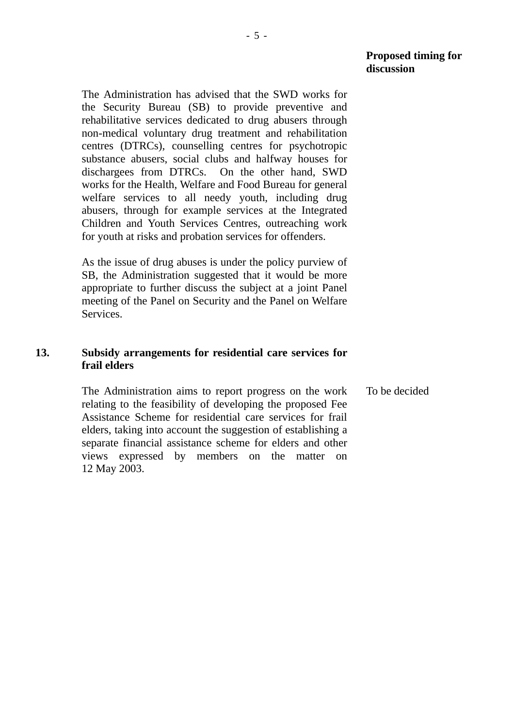The Administration has advised that the SWD works for the Security Bureau (SB) to provide preventive and rehabilitative services dedicated to drug abusers through non-medical voluntary drug treatment and rehabilitation centres (DTRCs), counselling centres for psychotropic substance abusers, social clubs and halfway houses for dischargees from DTRCs. On the other hand, SWD works for the Health, Welfare and Food Bureau for general welfare services to all needy youth, including drug abusers, through for example services at the Integrated Children and Youth Services Centres, outreaching work for youth at risks and probation services for offenders.

As the issue of drug abuses is under the policy purview of SB, the Administration suggested that it would be more appropriate to further discuss the subject at a joint Panel meeting of the Panel on Security and the Panel on Welfare Services.

## **13. Subsidy arrangements for residential care services for frail elders**

The Administration aims to report progress on the work relating to the feasibility of developing the proposed Fee Assistance Scheme for residential care services for frail elders, taking into account the suggestion of establishing a separate financial assistance scheme for elders and other views expressed by members on the matter on 12 May 2003. To be decided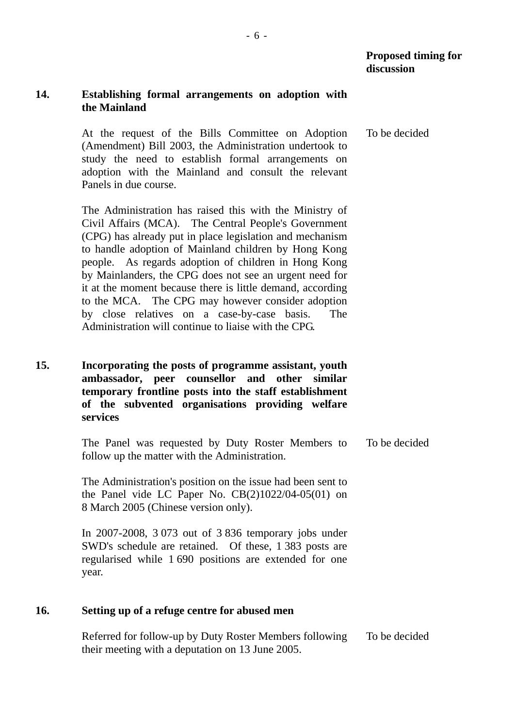## **14. Establishing formal arrangements on adoption with the Mainland**

At the request of the Bills Committee on Adoption (Amendment) Bill 2003, the Administration undertook to study the need to establish formal arrangements on adoption with the Mainland and consult the relevant Panels in due course. To be decided

The Administration has raised this with the Ministry of Civil Affairs (MCA). The Central People's Government (CPG) has already put in place legislation and mechanism to handle adoption of Mainland children by Hong Kong people. As regards adoption of children in Hong Kong by Mainlanders, the CPG does not see an urgent need for it at the moment because there is little demand, according to the MCA. The CPG may however consider adoption by close relatives on a case-by-case basis. The Administration will continue to liaise with the CPG.

**15. Incorporating the posts of programme assistant, youth ambassador, peer counsellor and other similar temporary frontline posts into the staff establishment of the subvented organisations providing welfare services** 

> The Panel was requested by Duty Roster Members to follow up the matter with the Administration. To be decided

The Administration's position on the issue had been sent to the Panel vide LC Paper No. CB(2)1022/04-05(01) on 8 March 2005 (Chinese version only).

In 2007-2008, 3 073 out of 3 836 temporary jobs under SWD's schedule are retained. Of these, 1 383 posts are regularised while 1 690 positions are extended for one year.

## **16. Setting up of a refuge centre for abused men**

Referred for follow-up by Duty Roster Members following their meeting with a deputation on 13 June 2005. To be decided